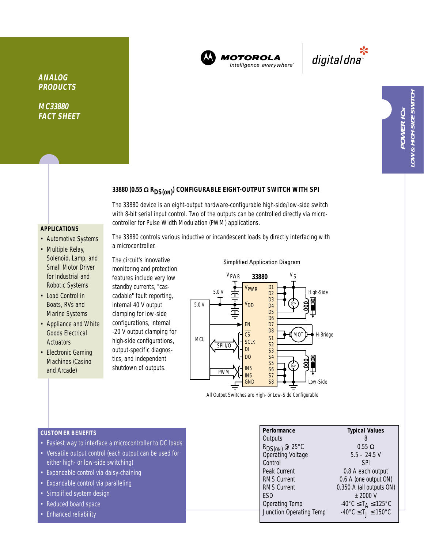

**MOTOROLA** intelligence everywhere<sup>®</sup>

\*<br>"digital dna

# **33880 (0.55** <sup>Ω</sup> **RDS(ON) ) CONFIGURABLE EIGHT-OUTPUT SWITCH WITH SPI**

The 33880 device is an eight-output hardware-configurable high-side/low-side switch with 8-bit serial input control. Two of the outputs can be controlled directly via microcontroller for Pulse Width Modulation (PWM) applications.

## **APPLICATIONS**

**ANALOG PRODUCTS**

**MC33880 FACT SHEET**

- Automotive Systems
- Multiple Relay, Solenoid, Lamp, and Small Motor Driver for Industrial and Robotic Systems
- Load Control in Boats, RVs and Marine Systems
- Appliance and White Goods Electrical **Actuators**
- Electronic Gaming Machines (Casino and Arcade)

The 33880 controls various inductive or incandescent loads by directly interfacing with a microcontroller.

The circuit's innovative monitoring and protection features include very low standby currents, "cascadable" fault reporting, internal 40 V output clamping for low-side configurations, internal -20 V output clamping for high-side configurations, output-specific diagnostics, and independent shutdown of outputs.



Simplified Application Diagram

All Output Switches are High- or Low-Side Configurable

#### **CUSTOMER BENEFITS**

- Easiest way to interface a microcontroller to DC loads
- Versatile output control (each output can be used for either high- or low-side switching)
- Expandable control via daisy-chaining
- Expandable control via paralleling
- Simplified system design
- Reduced board space
- Enhanced reliability

| Performance                                     | <b>Typical Values</b>                              |
|-------------------------------------------------|----------------------------------------------------|
| Outputs                                         |                                                    |
| R <sub>DS(ON)</sub> @ 25°C<br>Operating Voltage | $0.55 \Omega$                                      |
|                                                 | $5.5 - 24.5$ V                                     |
| Control                                         | <b>SPI</b>                                         |
| Peak Current                                    | 0.8 A each output                                  |
| <b>RMS Current</b>                              | 0.6 A (one output ON)                              |
| RMS Current                                     | 0.350 A (all outputs ON)                           |
| ESD                                             | $±$ 2000 V                                         |
| Operating Temp                                  | $-40^{\circ}$ C $\leq$ T <sub>A</sub> $\leq$ 125°C |
| Junction Operating Temp                         | $-40^{\circ}$ C $\leq$ T $j \leq 150^{\circ}$ C    |
|                                                 |                                                    |